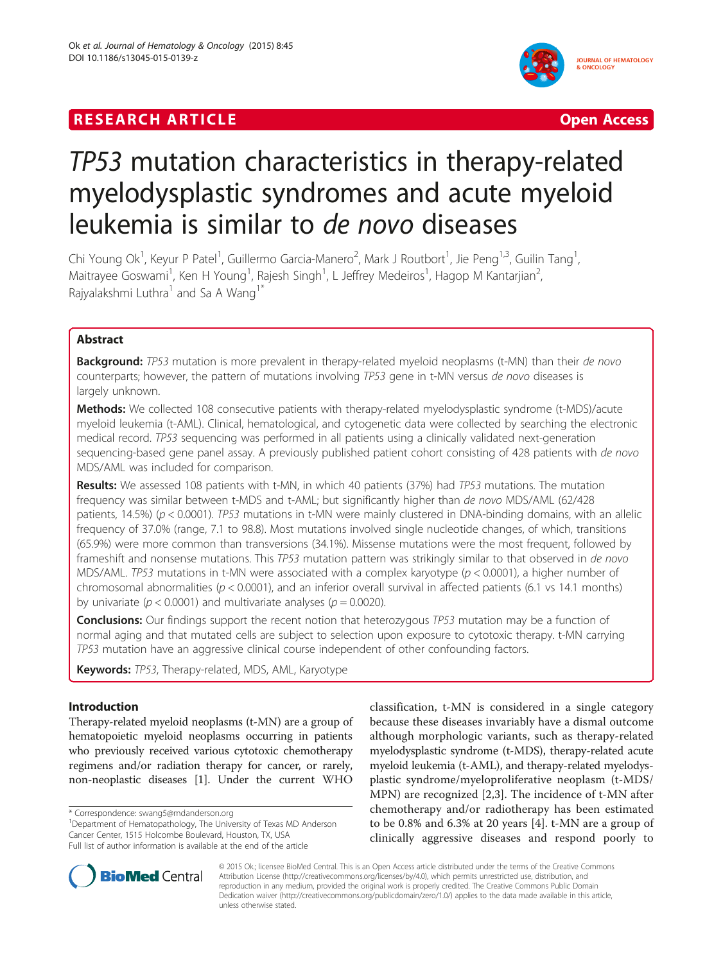# **RESEARCH ARTICLE EXECUTE: CONSIDERING A RESEARCH ARTICLE**



# TP53 mutation characteristics in therapy-related myelodysplastic syndromes and acute myeloid leukemia is similar to de novo diseases

Chi Young Ok<sup>1</sup>, Keyur P Patel<sup>1</sup>, Guillermo Garcia-Manero<sup>2</sup>, Mark J Routbort<sup>1</sup>, Jie Peng<sup>1,3</sup>, Guilin Tang<sup>1</sup> , Maitrayee Goswami<sup>1</sup>, Ken H Young<sup>1</sup>, Rajesh Singh<sup>1</sup>, L Jeffrey Medeiros<sup>1</sup>, Hagop M Kantarjian<sup>2</sup> , Rajyalakshmi Luthra<sup>1</sup> and Sa A Wang<sup>1\*</sup>

# Abstract

**Background:** TP53 mutation is more prevalent in therapy-related myeloid neoplasms (t-MN) than their de novo counterparts; however, the pattern of mutations involving TP53 gene in t-MN versus de novo diseases is largely unknown.

Methods: We collected 108 consecutive patients with therapy-related myelodysplastic syndrome (t-MDS)/acute myeloid leukemia (t-AML). Clinical, hematological, and cytogenetic data were collected by searching the electronic medical record. TP53 sequencing was performed in all patients using a clinically validated next-generation sequencing-based gene panel assay. A previously published patient cohort consisting of 428 patients with de novo MDS/AML was included for comparison.

Results: We assessed 108 patients with t-MN, in which 40 patients (37%) had TP53 mutations. The mutation frequency was similar between t-MDS and t-AML; but significantly higher than de novo MDS/AML (62/428 patients, 14.5%) ( $p < 0.0001$ ). TP53 mutations in t-MN were mainly clustered in DNA-binding domains, with an allelic frequency of 37.0% (range, 7.1 to 98.8). Most mutations involved single nucleotide changes, of which, transitions (65.9%) were more common than transversions (34.1%). Missense mutations were the most frequent, followed by frameshift and nonsense mutations. This TP53 mutation pattern was strikingly similar to that observed in de novo MDS/AML. TP53 mutations in t-MN were associated with a complex karyotype ( $p < 0.0001$ ), a higher number of chromosomal abnormalities ( $p < 0.0001$ ), and an inferior overall survival in affected patients (6.1 vs 14.1 months) by univariate ( $p < 0.0001$ ) and multivariate analyses ( $p = 0.0020$ ).

**Conclusions:** Our findings support the recent notion that heterozygous TP53 mutation may be a function of normal aging and that mutated cells are subject to selection upon exposure to cytotoxic therapy. t-MN carrying TP53 mutation have an aggressive clinical course independent of other confounding factors.

Keywords: TP53, Therapy-related, MDS, AML, Karyotype

## Introduction

Therapy-related myeloid neoplasms (t-MN) are a group of hematopoietic myeloid neoplasms occurring in patients who previously received various cytotoxic chemotherapy regimens and/or radiation therapy for cancer, or rarely, non-neoplastic diseases [\[1](#page-6-0)]. Under the current WHO

<sup>1</sup>Department of Hematopathology, The University of Texas MD Anderson Cancer Center, 1515 Holcombe Boulevard, Houston, TX, USA Full list of author information is available at the end of the article

classification, t-MN is considered in a single category because these diseases invariably have a dismal outcome although morphologic variants, such as therapy-related myelodysplastic syndrome (t-MDS), therapy-related acute myeloid leukemia (t-AML), and therapy-related myelodysplastic syndrome/myeloproliferative neoplasm (t-MDS/ MPN) are recognized [\[2,3](#page-6-0)]. The incidence of t-MN after chemotherapy and/or radiotherapy has been estimated to be 0.8% and 6.3% at 20 years [[4\]](#page-6-0). t-MN are a group of clinically aggressive diseases and respond poorly to



© 2015 Ok.; licensee BioMed Central. This is an Open Access article distributed under the terms of the Creative Commons Attribution License (<http://creativecommons.org/licenses/by/4.0>), which permits unrestricted use, distribution, and reproduction in any medium, provided the original work is properly credited. The Creative Commons Public Domain Dedication waiver [\(http://creativecommons.org/publicdomain/zero/1.0/](http://creativecommons.org/publicdomain/zero/1.0/)) applies to the data made available in this article, unless otherwise stated.

<sup>\*</sup> Correspondence: [swang5@mdanderson.org](mailto:swang5@mdanderson.org) <sup>1</sup>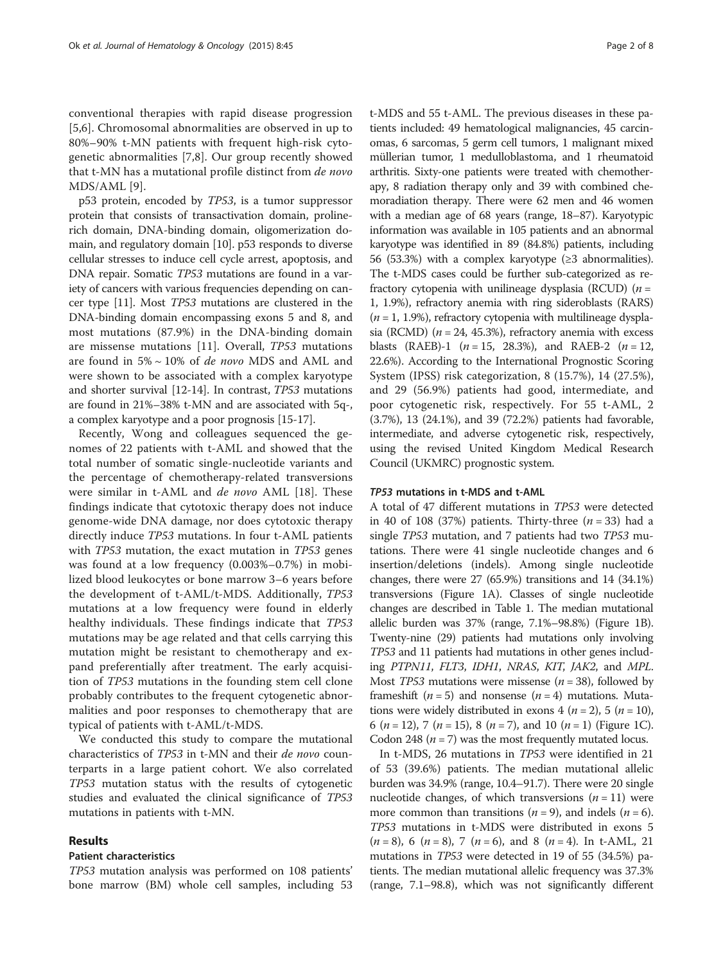conventional therapies with rapid disease progression [[5,6](#page-6-0)]. Chromosomal abnormalities are observed in up to 80%–90% t-MN patients with frequent high-risk cytogenetic abnormalities [\[7,8](#page-6-0)]. Our group recently showed that t-MN has a mutational profile distinct from de novo MDS/AML [[9\]](#page-6-0).

p53 protein, encoded by TP53, is a tumor suppressor protein that consists of transactivation domain, prolinerich domain, DNA-binding domain, oligomerization domain, and regulatory domain [\[10](#page-6-0)]. p53 responds to diverse cellular stresses to induce cell cycle arrest, apoptosis, and DNA repair. Somatic TP53 mutations are found in a variety of cancers with various frequencies depending on cancer type [[11](#page-6-0)]. Most TP53 mutations are clustered in the DNA-binding domain encompassing exons 5 and 8, and most mutations (87.9%) in the DNA-binding domain are missense mutations [[11\]](#page-6-0). Overall, TP53 mutations are found in 5% ~ 10% of de novo MDS and AML and were shown to be associated with a complex karyotype and shorter survival [[12](#page-6-0)-[14](#page-6-0)]. In contrast, TP53 mutations are found in 21%–38% t-MN and are associated with 5q-, a complex karyotype and a poor prognosis [[15-17\]](#page-6-0).

Recently, Wong and colleagues sequenced the genomes of 22 patients with t-AML and showed that the total number of somatic single-nucleotide variants and the percentage of chemotherapy-related transversions were similar in t-AML and de novo AML [[18](#page-6-0)]. These findings indicate that cytotoxic therapy does not induce genome-wide DNA damage, nor does cytotoxic therapy directly induce TP53 mutations. In four t-AML patients with TP53 mutation, the exact mutation in TP53 genes was found at a low frequency (0.003%–0.7%) in mobilized blood leukocytes or bone marrow 3–6 years before the development of t-AML/t-MDS. Additionally, TP53 mutations at a low frequency were found in elderly healthy individuals. These findings indicate that TP53 mutations may be age related and that cells carrying this mutation might be resistant to chemotherapy and expand preferentially after treatment. The early acquisition of TP53 mutations in the founding stem cell clone probably contributes to the frequent cytogenetic abnormalities and poor responses to chemotherapy that are typical of patients with t-AML/t-MDS.

We conducted this study to compare the mutational characteristics of TP53 in t-MN and their de novo counterparts in a large patient cohort. We also correlated TP53 mutation status with the results of cytogenetic studies and evaluated the clinical significance of TP53 mutations in patients with t-MN.

## Results

## Patient characteristics

TP53 mutation analysis was performed on 108 patients' bone marrow (BM) whole cell samples, including 53 t-MDS and 55 t-AML. The previous diseases in these patients included: 49 hematological malignancies, 45 carcinomas, 6 sarcomas, 5 germ cell tumors, 1 malignant mixed müllerian tumor, 1 medulloblastoma, and 1 rheumatoid arthritis. Sixty-one patients were treated with chemotherapy, 8 radiation therapy only and 39 with combined chemoradiation therapy. There were 62 men and 46 women with a median age of 68 years (range, 18–87). Karyotypic information was available in 105 patients and an abnormal karyotype was identified in 89 (84.8%) patients, including 56 (53.3%) with a complex karyotype (≥3 abnormalities). The t-MDS cases could be further sub-categorized as refractory cytopenia with unilineage dysplasia (RCUD)  $(n =$ 1, 1.9%), refractory anemia with ring sideroblasts (RARS)  $(n = 1, 1.9\%)$ , refractory cytopenia with multilineage dysplasia (RCMD) ( $n = 24$ , 45.3%), refractory anemia with excess blasts (RAEB)-1 ( $n = 15$ , 28.3%), and RAEB-2 ( $n = 12$ , 22.6%). According to the International Prognostic Scoring System (IPSS) risk categorization, 8 (15.7%), 14 (27.5%), and 29 (56.9%) patients had good, intermediate, and poor cytogenetic risk, respectively. For 55 t-AML, 2 (3.7%), 13 (24.1%), and 39 (72.2%) patients had favorable, intermediate, and adverse cytogenetic risk, respectively, using the revised United Kingdom Medical Research Council (UKMRC) prognostic system.

## TP53 mutations in t-MDS and t-AML

A total of 47 different mutations in TP53 were detected in 40 of 108 (37%) patients. Thirty-three  $(n = 33)$  had a single TP53 mutation, and 7 patients had two TP53 mutations. There were 41 single nucleotide changes and 6 insertion/deletions (indels). Among single nucleotide changes, there were 27 (65.9%) transitions and 14 (34.1%) transversions (Figure [1A](#page-2-0)). Classes of single nucleotide changes are described in Table [1.](#page-2-0) The median mutational allelic burden was 37% (range, 7.1%–98.8%) (Figure [1B](#page-2-0)). Twenty-nine (29) patients had mutations only involving TP53 and 11 patients had mutations in other genes including PTPN11, FLT3, IDH1, NRAS, KIT, JAK2, and MPL. Most *TP53* mutations were missense ( $n = 38$ ), followed by frameshift ( $n = 5$ ) and nonsense ( $n = 4$ ) mutations. Mutations were widely distributed in exons 4 ( $n = 2$ ), 5 ( $n = 10$ ), 6 (*n* = 12), 7 (*n* = 15), 8 (*n* = 7), and 10 (*n* = 1) (Figure [1C](#page-2-0)). Codon 248 ( $n = 7$ ) was the most frequently mutated locus.

In t-MDS, 26 mutations in TP53 were identified in 21 of 53 (39.6%) patients. The median mutational allelic burden was 34.9% (range, 10.4–91.7). There were 20 single nucleotide changes, of which transversions  $(n = 11)$  were more common than transitions ( $n = 9$ ), and indels ( $n = 6$ ). TP53 mutations in t-MDS were distributed in exons 5  $(n = 8)$ , 6  $(n = 8)$ , 7  $(n = 6)$ , and 8  $(n = 4)$ . In t-AML, 21 mutations in TP53 were detected in 19 of 55 (34.5%) patients. The median mutational allelic frequency was 37.3% (range, 7.1–98.8), which was not significantly different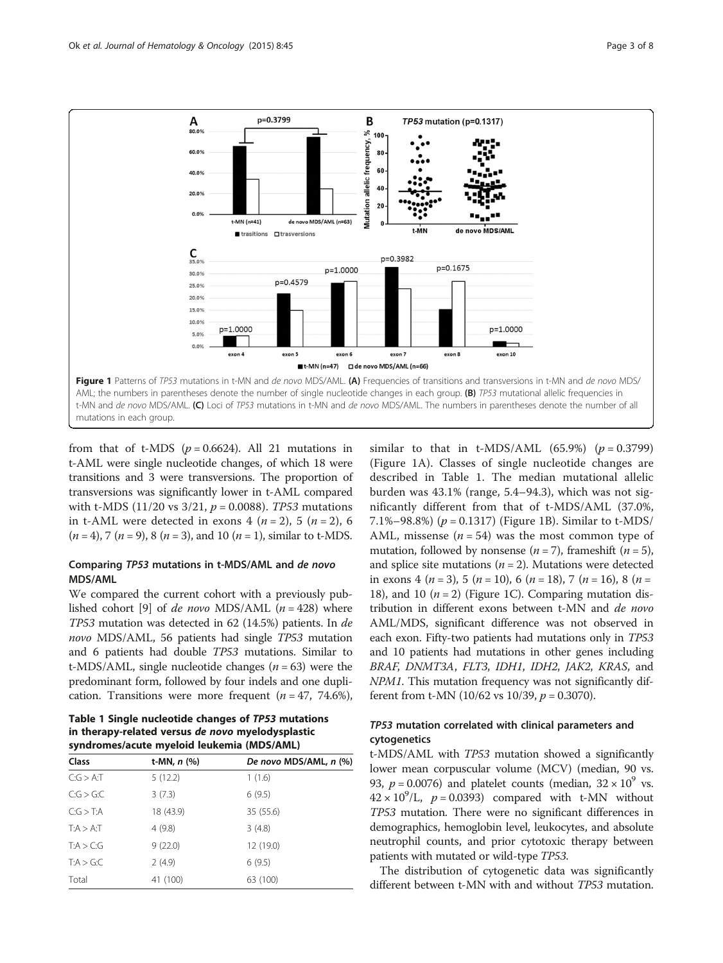<span id="page-2-0"></span>

from that of t-MDS ( $p = 0.6624$ ). All 21 mutations in t-AML were single nucleotide changes, of which 18 were transitions and 3 were transversions. The proportion of transversions was significantly lower in t-AML compared with t-MDS (11/20 vs  $3/21$ ,  $p = 0.0088$ ). *TP53* mutations in t-AML were detected in exons 4 ( $n = 2$ ), 5 ( $n = 2$ ), 6  $(n = 4)$ , 7  $(n = 9)$ , 8  $(n = 3)$ , and 10  $(n = 1)$ , similar to t-MDS.

## Comparing TP53 mutations in t-MDS/AML and de novo MDS/AML

We compared the current cohort with a previously pub-lished cohort [\[9](#page-6-0)] of *de novo* MDS/AML  $(n = 428)$  where TP53 mutation was detected in 62 (14.5%) patients. In de novo MDS/AML, 56 patients had single TP53 mutation and 6 patients had double TP53 mutations. Similar to t-MDS/AML, single nucleotide changes  $(n = 63)$  were the predominant form, followed by four indels and one duplication. Transitions were more frequent  $(n = 47, 74.6\%),$ 

Table 1 Single nucleotide changes of TP53 mutations in therapy-related versus de novo myelodysplastic syndromes/acute myeloid leukemia (MDS/AML)

| Class        | t-MN, $n$ (%) | De novo MDS/AML, n (%) |
|--------------|---------------|------------------------|
| C:G > A:T    | 5(12.2)       | 1(1.6)                 |
| C:G > G:C    | 3(7.3)        | 6(9.5)                 |
| C:G > T:A    | 18 (43.9)     | 35 (55.6)              |
| $T:A > A$ :T | 4(9.8)        | 3(4.8)                 |
| T:A > C:G    | 9(22.0)       | 12 (19.0)              |
| T:A > G:C    | 2(4.9)        | 6(9.5)                 |
| Total        | 41 (100)      | 63 (100)               |

similar to that in t-MDS/AML  $(65.9\%)$   $(p = 0.3799)$ (Figure 1A). Classes of single nucleotide changes are described in Table 1. The median mutational allelic burden was 43.1% (range, 5.4–94.3), which was not significantly different from that of t-MDS/AML (37.0%, 7.1%–98.8%) ( $p = 0.1317$ ) (Figure 1B). Similar to t-MDS/ AML, missense ( $n = 54$ ) was the most common type of mutation, followed by nonsense ( $n = 7$ ), frameshift ( $n = 5$ ), and splice site mutations ( $n = 2$ ). Mutations were detected in exons 4 ( $n = 3$ ), 5 ( $n = 10$ ), 6 ( $n = 18$ ), 7 ( $n = 16$ ), 8 ( $n =$ 18), and 10 ( $n = 2$ ) (Figure 1C). Comparing mutation distribution in different exons between t-MN and de novo AML/MDS, significant difference was not observed in each exon. Fifty-two patients had mutations only in TP53 and 10 patients had mutations in other genes including BRAF, DNMT3A, FLT3, IDH1, IDH2, JAK2, KRAS, and NPM1. This mutation frequency was not significantly different from t-MN (10/62 vs 10/39,  $p = 0.3070$ ).

## TP53 mutation correlated with clinical parameters and cytogenetics

t-MDS/AML with TP53 mutation showed a significantly lower mean corpuscular volume (MCV) (median, 90 vs. 93,  $p = 0.0076$ ) and platelet counts (median,  $32 \times 10^9$  vs.  $42 \times 10^9$ /L,  $p = 0.0393$ ) compared with t-MN without TP53 mutation. There were no significant differences in demographics, hemoglobin level, leukocytes, and absolute neutrophil counts, and prior cytotoxic therapy between patients with mutated or wild-type TP53.

The distribution of cytogenetic data was significantly different between t-MN with and without TP53 mutation.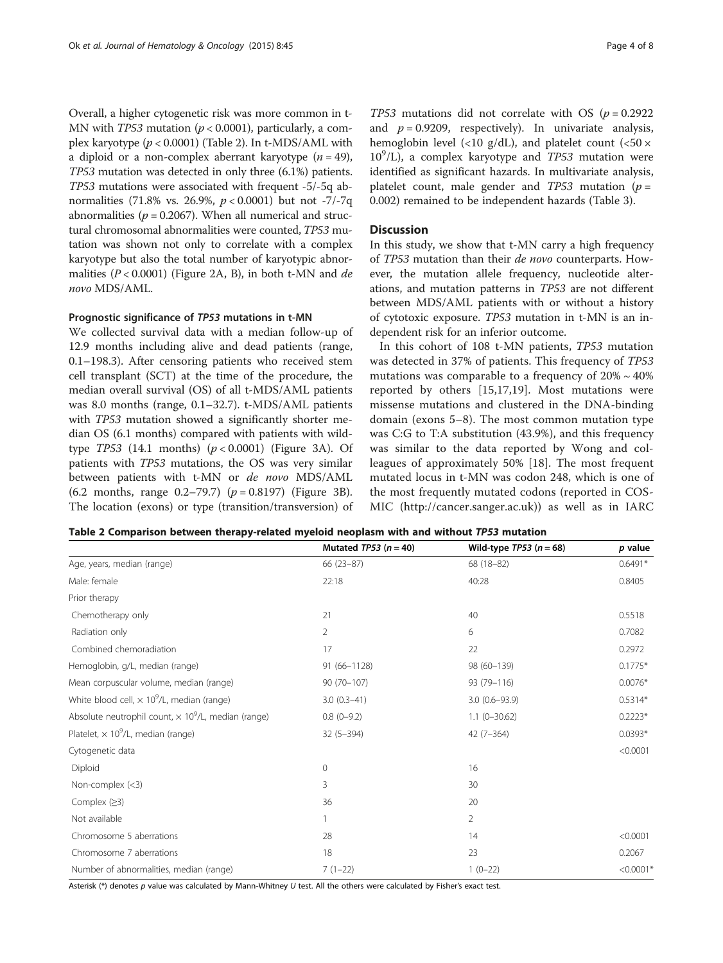Overall, a higher cytogenetic risk was more common in t-MN with *TP53* mutation ( $p < 0.0001$ ), particularly, a complex karyotype  $(p < 0.0001)$  (Table 2). In t-MDS/AML with a diploid or a non-complex aberrant karyotype  $(n = 49)$ , TP53 mutation was detected in only three (6.1%) patients. TP53 mutations were associated with frequent -5/-5q abnormalities (71.8% vs. 26.9%,  $p < 0.0001$ ) but not -7/-7q abnormalities ( $p = 0.2067$ ). When all numerical and structural chromosomal abnormalities were counted, TP53 mutation was shown not only to correlate with a complex karyotype but also the total number of karyotypic abnormalities ( $P < 0.0001$ ) (Figure [2A](#page-4-0), B), in both t-MN and de novo MDS/AML.

## Prognostic significance of TP53 mutations in t-MN

We collected survival data with a median follow-up of 12.9 months including alive and dead patients (range, 0.1–198.3). After censoring patients who received stem cell transplant (SCT) at the time of the procedure, the median overall survival (OS) of all t-MDS/AML patients was 8.0 months (range, 0.1–32.7). t-MDS/AML patients with TP53 mutation showed a significantly shorter median OS (6.1 months) compared with patients with wildtype  $TP53$  (14.1 months) ( $p < 0.0001$ ) (Figure [3](#page-4-0)A). Of patients with TP53 mutations, the OS was very similar between patients with t-MN or de novo MDS/AML (6.2 months, range 0.2–79.7) ( $p = 0.8197$ ) (Figure [3](#page-4-0)B). The location (exons) or type (transition/transversion) of

TP53 mutations did not correlate with OS ( $p = 0.2922$ ) and  $p = 0.9209$ , respectively). In univariate analysis, hemoglobin level (<10 g/dL), and platelet count (<50  $\times$ 10<sup>9</sup>/L), a complex karyotype and *TP53* mutation were identified as significant hazards. In multivariate analysis, platelet count, male gender and  $TP53$  mutation ( $p =$ 0.002) remained to be independent hazards (Table [3\)](#page-5-0).

## **Discussion**

In this study, we show that t-MN carry a high frequency of TP53 mutation than their de novo counterparts. However, the mutation allele frequency, nucleotide alterations, and mutation patterns in TP53 are not different between MDS/AML patients with or without a history of cytotoxic exposure. TP53 mutation in t-MN is an independent risk for an inferior outcome.

In this cohort of 108 t-MN patients, TP53 mutation was detected in 37% of patients. This frequency of TP53 mutations was comparable to a frequency of  $20\% \sim 40\%$ reported by others [\[15](#page-6-0),[17,19\]](#page-6-0). Most mutations were missense mutations and clustered in the DNA-binding domain (exons 5–8). The most common mutation type was C:G to T:A substitution (43.9%), and this frequency was similar to the data reported by Wong and colleagues of approximately 50% [[18\]](#page-6-0). The most frequent mutated locus in t-MN was codon 248, which is one of the most frequently mutated codons (reported in COS-MIC ([http://cancer.sanger.ac.uk\)](http://cancer.sanger.ac.uk)) as well as in IARC

|  | Table 2 Comparison between therapy-related myeloid neoplasm with and without <i>TP53</i> mutation |  |  |  |
|--|---------------------------------------------------------------------------------------------------|--|--|--|
|  |                                                                                                   |  |  |  |

|                                                                        | Mutated $TP53 (n = 40)$ | Wild-type $TP53$ ( $n = 68$ ) | p value     |
|------------------------------------------------------------------------|-------------------------|-------------------------------|-------------|
| Age, years, median (range)                                             | $66(23-87)$             | 68 (18-82)                    | $0.6491*$   |
| Male: female                                                           | 22:18                   | 40:28                         | 0.8405      |
| Prior therapy                                                          |                         |                               |             |
| Chemotherapy only                                                      | 21                      | 40                            | 0.5518      |
| Radiation only                                                         | $\overline{2}$          | 6                             | 0.7082      |
| Combined chemoradiation                                                | 17                      | 22                            | 0.2972      |
| Hemoglobin, g/L, median (range)                                        | 91 (66-1128)            | 98 (60-139)                   | $0.1775*$   |
| Mean corpuscular volume, median (range)                                | $90(70-107)$            | 93 (79-116)                   | $0.0076*$   |
| White blood cell, $\times$ 10 <sup>9</sup> /L, median (range)          | $3.0(0.3-41)$           | $3.0(0.6 - 93.9)$             | $0.5314*$   |
| Absolute neutrophil count, $\times$ 10 <sup>9</sup> /L, median (range) | $0.8(0-9.2)$            | $1.1(0-30.62)$                | $0.2223*$   |
| Platelet, $\times$ 10 <sup>9</sup> /L, median (range)                  | $32(5 - 394)$           | $42(7-364)$                   | $0.0393*$   |
| Cytogenetic data                                                       |                         |                               | < 0.0001    |
| Diploid                                                                | $\mathbf{0}$            | 16                            |             |
| Non-complex $(<3)$                                                     | 3                       | 30                            |             |
| Complex $(≥3)$                                                         | 36                      | 20                            |             |
| Not available                                                          |                         | $\overline{2}$                |             |
| Chromosome 5 aberrations                                               | 28                      | 14                            | < 0.0001    |
| Chromosome 7 aberrations                                               | 18                      | 23                            | 0.2067      |
| Number of abnormalities, median (range)                                | $7(1-22)$               | $1(0-22)$                     | $< 0.0001*$ |

Asterisk (\*) denotes p value was calculated by Mann-Whitney U test. All the others were calculated by Fisher's exact test.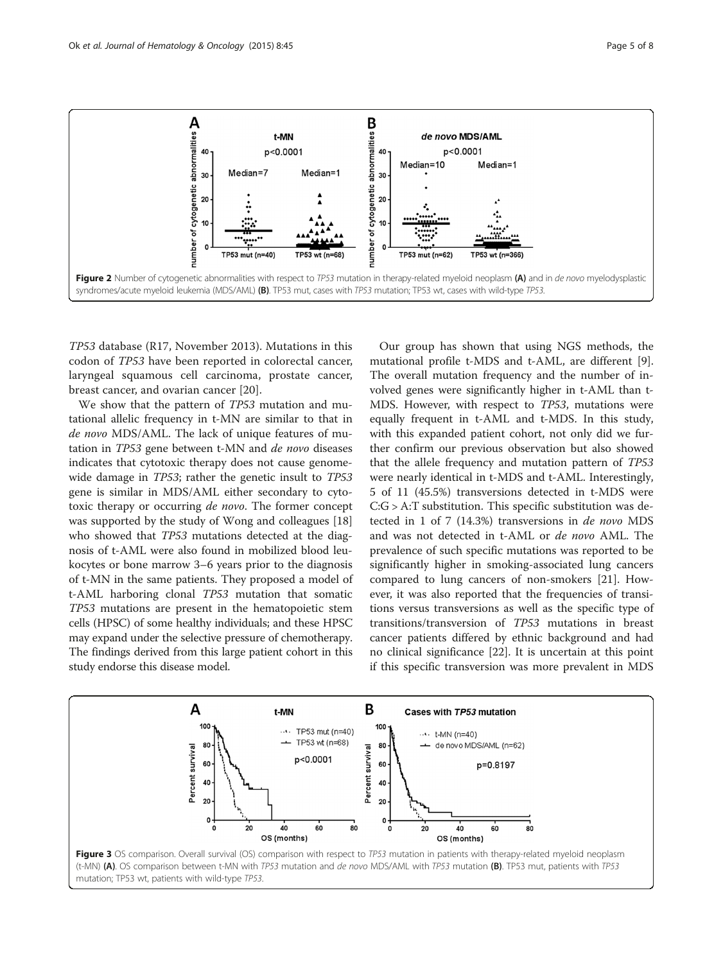<span id="page-4-0"></span>

TP53 database (R17, November 2013). Mutations in this codon of TP53 have been reported in colorectal cancer, laryngeal squamous cell carcinoma, prostate cancer, breast cancer, and ovarian cancer [\[20](#page-7-0)].

We show that the pattern of TP53 mutation and mutational allelic frequency in t-MN are similar to that in de novo MDS/AML. The lack of unique features of mutation in TP53 gene between t-MN and de novo diseases indicates that cytotoxic therapy does not cause genomewide damage in TP53; rather the genetic insult to TP53 gene is similar in MDS/AML either secondary to cytotoxic therapy or occurring de novo. The former concept was supported by the study of Wong and colleagues [[18](#page-6-0)] who showed that TP53 mutations detected at the diagnosis of t-AML were also found in mobilized blood leukocytes or bone marrow 3–6 years prior to the diagnosis of t-MN in the same patients. They proposed a model of t-AML harboring clonal TP53 mutation that somatic TP53 mutations are present in the hematopoietic stem cells (HPSC) of some healthy individuals; and these HPSC may expand under the selective pressure of chemotherapy. The findings derived from this large patient cohort in this study endorse this disease model.

Our group has shown that using NGS methods, the mutational profile t-MDS and t-AML, are different [\[9](#page-6-0)]. The overall mutation frequency and the number of involved genes were significantly higher in t-AML than t-MDS. However, with respect to TP53, mutations were equally frequent in t-AML and t-MDS. In this study, with this expanded patient cohort, not only did we further confirm our previous observation but also showed that the allele frequency and mutation pattern of TP53 were nearly identical in t-MDS and t-AML. Interestingly, 5 of 11 (45.5%) transversions detected in t-MDS were C:G > A:T substitution. This specific substitution was detected in 1 of 7 (14.3%) transversions in de novo MDS and was not detected in t-AML or de novo AML. The prevalence of such specific mutations was reported to be significantly higher in smoking-associated lung cancers compared to lung cancers of non-smokers [\[21](#page-7-0)]. However, it was also reported that the frequencies of transitions versus transversions as well as the specific type of transitions/transversion of TP53 mutations in breast cancer patients differed by ethnic background and had no clinical significance [[22\]](#page-7-0). It is uncertain at this point if this specific transversion was more prevalent in MDS

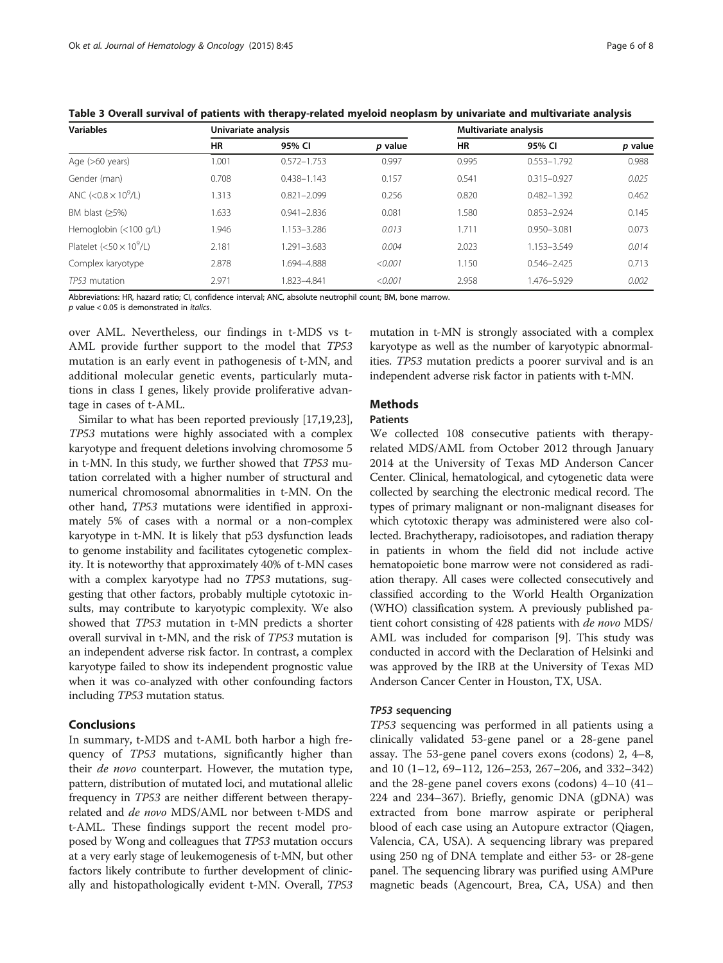| <b>Variables</b>               | Univariate analysis |                 |         | Multivariate analysis |                 |         |  |
|--------------------------------|---------------------|-----------------|---------|-----------------------|-----------------|---------|--|
|                                | HR                  | 95% CI          | p value | <b>HR</b>             | 95% CI          | p value |  |
| Age $(>60 \text{ years})$      | 1.001               | $0.572 - 1.753$ | 0.997   | 0.995                 | $0.553 - 1.792$ | 0.988   |  |
| Gender (man)                   | 0.708               | $0.438 - 1.143$ | 0.157   | 0.541                 | $0.315 - 0.927$ | 0.025   |  |
| ANC (< $0.8 \times 10^9$ /L)   | 1.313               | $0.821 - 2.099$ | 0.256   | 0.820                 | $0.482 - 1.392$ | 0.462   |  |
| BM blast $(≥5%)$               | .633                | $0.941 - 2.836$ | 0.081   | 1.580                 | $0.853 - 2.924$ | 0.145   |  |
| Hemoglobin $(<100$ g/L)        | 1.946               | 1.153-3.286     | 0.013   | 1.711                 | 0.950-3.081     | 0.073   |  |
| Platelet $(<50 \times 10^9/L)$ | 2.181               | 1.291-3.683     | 0.004   | 2.023                 | 1.153-3.549     | 0.014   |  |
| Complex karyotype              | 2.878               | 1.694-4.888     | < 0.001 | 1.150                 | $0.546 - 2.425$ | 0.713   |  |
| TP53 mutation                  | 2.971               | 1.823-4.841     | < 0.001 | 2.958                 | 1.476-5.929     | 0.002   |  |

<span id="page-5-0"></span>Table 3 Overall survival of patients with therapy-related myeloid neoplasm by univariate and multivariate analysis

Abbreviations: HR, hazard ratio; CI, confidence interval; ANC, absolute neutrophil count; BM, bone marrow.

 $p$  value < 0.05 is demonstrated in *italics*.

over AML. Nevertheless, our findings in t-MDS vs t-AML provide further support to the model that TP53 mutation is an early event in pathogenesis of t-MN, and additional molecular genetic events, particularly mutations in class I genes, likely provide proliferative advantage in cases of t-AML.

Similar to what has been reported previously [\[17,19,](#page-6-0)[23](#page-7-0)], TP53 mutations were highly associated with a complex karyotype and frequent deletions involving chromosome 5 in t-MN. In this study, we further showed that TP53 mutation correlated with a higher number of structural and numerical chromosomal abnormalities in t-MN. On the other hand, TP53 mutations were identified in approximately 5% of cases with a normal or a non-complex karyotype in t-MN. It is likely that p53 dysfunction leads to genome instability and facilitates cytogenetic complexity. It is noteworthy that approximately 40% of t-MN cases with a complex karyotype had no TP53 mutations, suggesting that other factors, probably multiple cytotoxic insults, may contribute to karyotypic complexity. We also showed that TP53 mutation in t-MN predicts a shorter overall survival in t-MN, and the risk of TP53 mutation is an independent adverse risk factor. In contrast, a complex karyotype failed to show its independent prognostic value when it was co-analyzed with other confounding factors including TP53 mutation status.

## Conclusions

In summary, t-MDS and t-AML both harbor a high frequency of TP53 mutations, significantly higher than their *de novo* counterpart. However, the mutation type, pattern, distribution of mutated loci, and mutational allelic frequency in TP53 are neither different between therapyrelated and de novo MDS/AML nor between t-MDS and t-AML. These findings support the recent model proposed by Wong and colleagues that TP53 mutation occurs at a very early stage of leukemogenesis of t-MN, but other factors likely contribute to further development of clinically and histopathologically evident t-MN. Overall, TP53

mutation in t-MN is strongly associated with a complex karyotype as well as the number of karyotypic abnormalities. TP53 mutation predicts a poorer survival and is an independent adverse risk factor in patients with t-MN.

# **Methods**

## Patients

We collected 108 consecutive patients with therapyrelated MDS/AML from October 2012 through January 2014 at the University of Texas MD Anderson Cancer Center. Clinical, hematological, and cytogenetic data were collected by searching the electronic medical record. The types of primary malignant or non-malignant diseases for which cytotoxic therapy was administered were also collected. Brachytherapy, radioisotopes, and radiation therapy in patients in whom the field did not include active hematopoietic bone marrow were not considered as radiation therapy. All cases were collected consecutively and classified according to the World Health Organization (WHO) classification system. A previously published patient cohort consisting of 428 patients with de novo MDS/ AML was included for comparison [\[9](#page-6-0)]. This study was conducted in accord with the Declaration of Helsinki and was approved by the IRB at the University of Texas MD Anderson Cancer Center in Houston, TX, USA.

## TP53 sequencing

TP53 sequencing was performed in all patients using a clinically validated 53-gene panel or a 28-gene panel assay. The 53-gene panel covers exons (codons) 2, 4–8, and 10 (1–12, 69–112, 126–253, 267–206, and 332–342) and the 28-gene panel covers exons (codons) 4–10 (41– 224 and 234–367). Briefly, genomic DNA (gDNA) was extracted from bone marrow aspirate or peripheral blood of each case using an Autopure extractor (Qiagen, Valencia, CA, USA). A sequencing library was prepared using 250 ng of DNA template and either 53- or 28-gene panel. The sequencing library was purified using AMPure magnetic beads (Agencourt, Brea, CA, USA) and then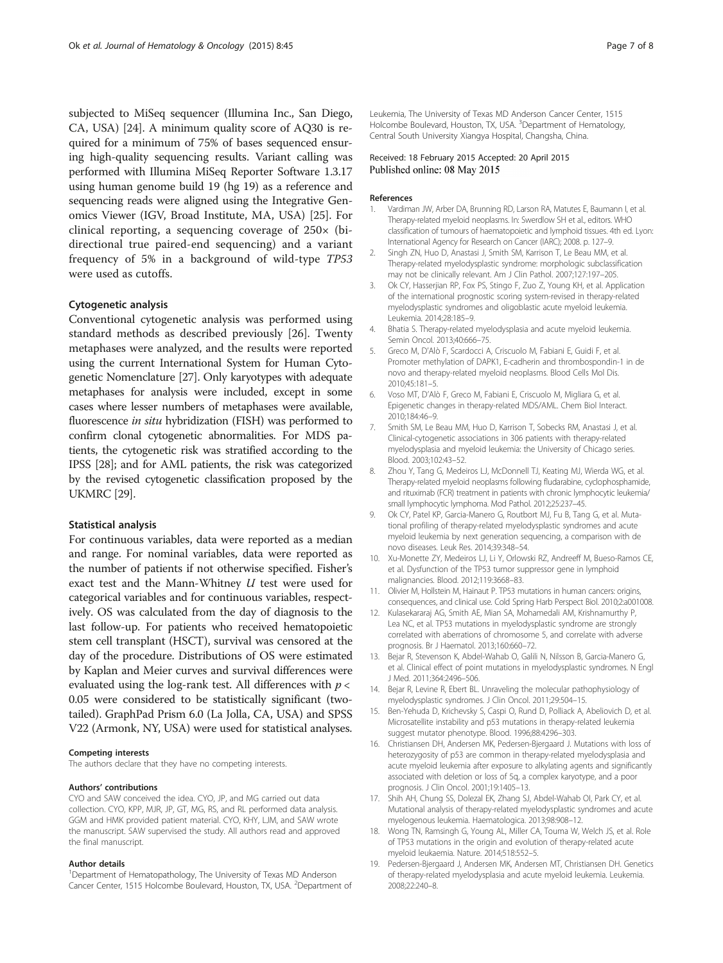<span id="page-6-0"></span>subjected to MiSeq sequencer (Illumina Inc., San Diego, CA, USA) [\[24](#page-7-0)]. A minimum quality score of AQ30 is required for a minimum of 75% of bases sequenced ensuring high-quality sequencing results. Variant calling was performed with Illumina MiSeq Reporter Software 1.3.17 using human genome build 19 (hg 19) as a reference and sequencing reads were aligned using the Integrative Genomics Viewer (IGV, Broad Institute, MA, USA) [\[25\]](#page-7-0). For clinical reporting, a sequencing coverage of 250× (bidirectional true paired-end sequencing) and a variant frequency of 5% in a background of wild-type TP53 were used as cutoffs.

## Cytogenetic analysis

Conventional cytogenetic analysis was performed using standard methods as described previously [\[26](#page-7-0)]. Twenty metaphases were analyzed, and the results were reported using the current International System for Human Cytogenetic Nomenclature [\[27\]](#page-7-0). Only karyotypes with adequate metaphases for analysis were included, except in some cases where lesser numbers of metaphases were available, fluorescence in situ hybridization (FISH) was performed to confirm clonal cytogenetic abnormalities. For MDS patients, the cytogenetic risk was stratified according to the IPSS [\[28\]](#page-7-0); and for AML patients, the risk was categorized by the revised cytogenetic classification proposed by the UKMRC [\[29\]](#page-7-0).

## Statistical analysis

For continuous variables, data were reported as a median and range. For nominal variables, data were reported as the number of patients if not otherwise specified. Fisher's exact test and the Mann-Whitney U test were used for categorical variables and for continuous variables, respectively. OS was calculated from the day of diagnosis to the last follow-up. For patients who received hematopoietic stem cell transplant (HSCT), survival was censored at the day of the procedure. Distributions of OS were estimated by Kaplan and Meier curves and survival differences were evaluated using the log-rank test. All differences with  $p <$ 0.05 were considered to be statistically significant (twotailed). GraphPad Prism 6.0 (La Jolla, CA, USA) and SPSS V22 (Armonk, NY, USA) were used for statistical analyses.

#### Competing interests

The authors declare that they have no competing interests.

#### Authors' contributions

CYO and SAW conceived the idea. CYO, JP, and MG carried out data collection. CYO, KPP, MJR, JP, GT, MG, RS, and RL performed data analysis. GGM and HMK provided patient material. CYO, KHY, LJM, and SAW wrote the manuscript. SAW supervised the study. All authors read and approved the final manuscript.

#### Author details

<sup>1</sup>Department of Hematopathology, The University of Texas MD Anderson Cancer Center, 1515 Holcombe Boulevard, Houston, TX, USA. <sup>2</sup>Department of Leukemia, The University of Texas MD Anderson Cancer Center, 1515 Holcombe Boulevard, Houston, TX, USA. <sup>3</sup>Department of Hematology, Central South University Xiangya Hospital, Changsha, China.

### Received: 18 February 2015 Accepted: 20 April 2015 Published online: 08 May 2015

#### References

- 1. Vardiman JW, Arber DA, Brunning RD, Larson RA, Matutes E, Baumann I, et al. Therapy-related myeloid neoplasms. In: Swerdlow SH et al., editors. WHO classification of tumours of haematopoietic and lymphoid tissues. 4th ed. Lyon: International Agency for Research on Cancer (IARC); 2008. p. 127–9.
- 2. Singh ZN, Huo D, Anastasi J, Smith SM, Karrison T, Le Beau MM, et al. Therapy-related myelodysplastic syndrome: morphologic subclassification may not be clinically relevant. Am J Clin Pathol. 2007;127:197–205.
- 3. Ok CY, Hasserjian RP, Fox PS, Stingo F, Zuo Z, Young KH, et al. Application of the international prognostic scoring system-revised in therapy-related myelodysplastic syndromes and oligoblastic acute myeloid leukemia. Leukemia. 2014;28:185–9.
- 4. Bhatia S. Therapy-related myelodysplasia and acute myeloid leukemia. Semin Oncol. 2013;40:666–75.
- 5. Greco M, D'Alò F, Scardocci A, Criscuolo M, Fabiani E, Guidi F, et al. Promoter methylation of DAPK1, E-cadherin and thrombospondin-1 in de novo and therapy-related myeloid neoplasms. Blood Cells Mol Dis. 2010;45:181–5.
- 6. Voso MT, D'Alò F, Greco M, Fabiani E, Criscuolo M, Migliara G, et al. Epigenetic changes in therapy-related MDS/AML. Chem Biol Interact. 2010;184:46–9.
- 7. Smith SM, Le Beau MM, Huo D, Karrison T, Sobecks RM, Anastasi J, et al. Clinical-cytogenetic associations in 306 patients with therapy-related myelodysplasia and myeloid leukemia: the University of Chicago series. Blood. 2003;102:43–52.
- 8. Zhou Y, Tang G, Medeiros LJ, McDonnell TJ, Keating MJ, Wierda WG, et al. Therapy-related myeloid neoplasms following fludarabine, cyclophosphamide, and rituximab (FCR) treatment in patients with chronic lymphocytic leukemia/ small lymphocytic lymphoma. Mod Pathol. 2012;25:237–45.
- 9. Ok CY, Patel KP, Garcia-Manero G, Routbort MJ, Fu B, Tang G, et al. Mutational profiling of therapy-related myelodysplastic syndromes and acute myeloid leukemia by next generation sequencing, a comparison with de novo diseases. Leuk Res. 2014;39:348–54.
- 10. Xu-Monette ZY, Medeiros LJ, Li Y, Orlowski RZ, Andreeff M, Bueso-Ramos CE, et al. Dysfunction of the TP53 tumor suppressor gene in lymphoid malignancies. Blood. 2012;119:3668–83.
- 11. Olivier M, Hollstein M, Hainaut P. TP53 mutations in human cancers: origins, consequences, and clinical use. Cold Spring Harb Perspect Biol. 2010;2:a001008.
- 12. Kulasekararaj AG, Smith AE, Mian SA, Mohamedali AM, Krishnamurthy P, Lea NC, et al. TP53 mutations in myelodysplastic syndrome are strongly correlated with aberrations of chromosome 5, and correlate with adverse prognosis. Br J Haematol. 2013;160:660–72.
- 13. Bejar R, Stevenson K, Abdel-Wahab O, Galili N, Nilsson B, Garcia-Manero G, et al. Clinical effect of point mutations in myelodysplastic syndromes. N Engl J Med. 2011;364:2496–506.
- 14. Bejar R, Levine R, Ebert BL. Unraveling the molecular pathophysiology of myelodysplastic syndromes. J Clin Oncol. 2011;29:504–15.
- 15. Ben-Yehuda D, Krichevsky S, Caspi O, Rund D, Polliack A, Abeliovich D, et al. Microsatellite instability and p53 mutations in therapy-related leukemia suggest mutator phenotype. Blood. 1996;88:4296–303.
- 16. Christiansen DH, Andersen MK, Pedersen-Bjergaard J. Mutations with loss of heterozygosity of p53 are common in therapy-related myelodysplasia and acute myeloid leukemia after exposure to alkylating agents and significantly associated with deletion or loss of 5q, a complex karyotype, and a poor prognosis. J Clin Oncol. 2001;19:1405–13.
- 17. Shih AH, Chung SS, Dolezal EK, Zhang SJ, Abdel-Wahab OI, Park CY, et al. Mutational analysis of therapy-related myelodysplastic syndromes and acute myelogenous leukemia. Haematologica. 2013;98:908–12.
- 18. Wong TN, Ramsingh G, Young AL, Miller CA, Touma W, Welch JS, et al. Role of TP53 mutations in the origin and evolution of therapy-related acute myeloid leukaemia. Nature. 2014;518:552–5.
- 19. Pedersen-Bjergaard J, Andersen MK, Andersen MT, Christiansen DH. Genetics of therapy-related myelodysplasia and acute myeloid leukemia. Leukemia. 2008;22:240–8.